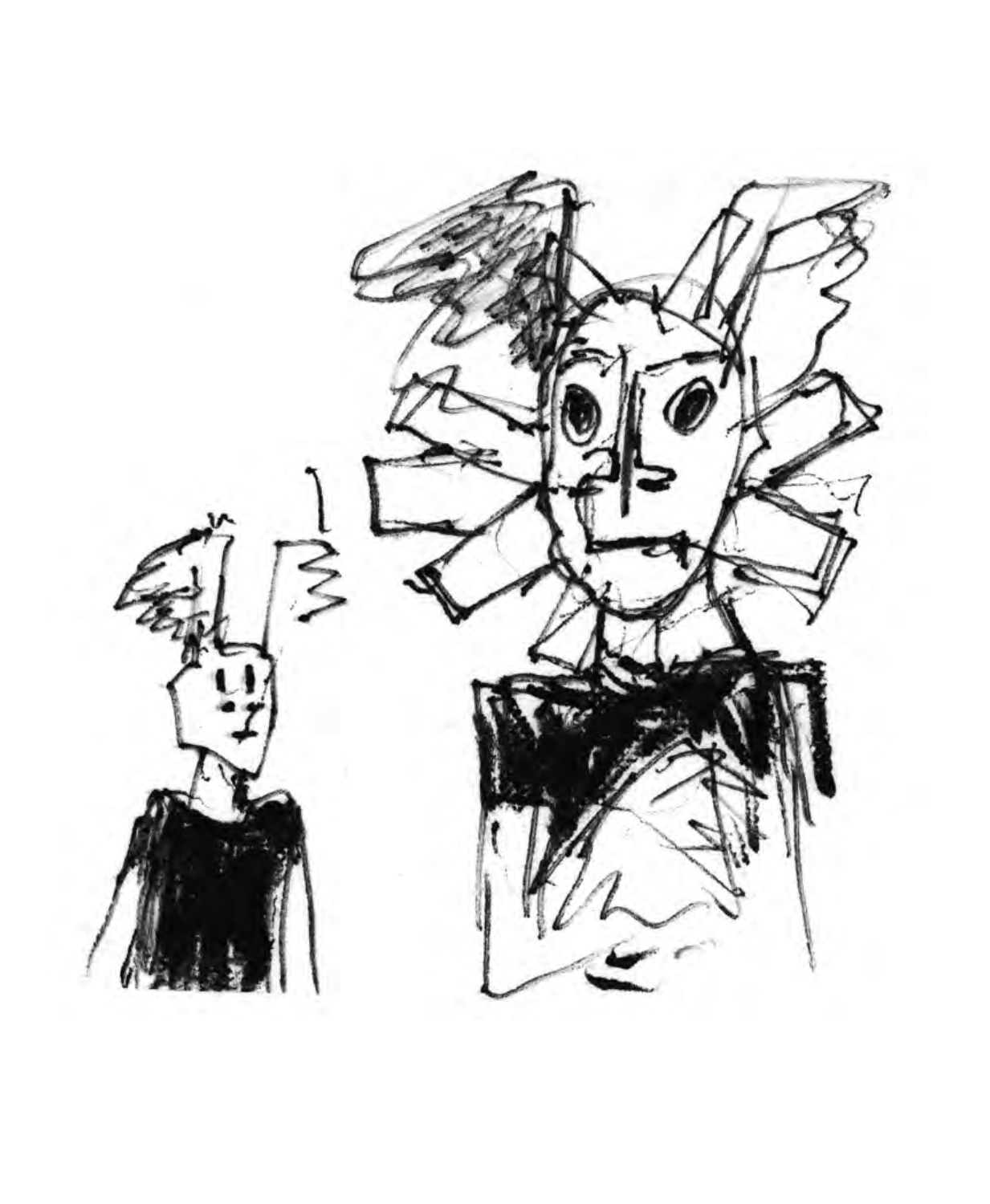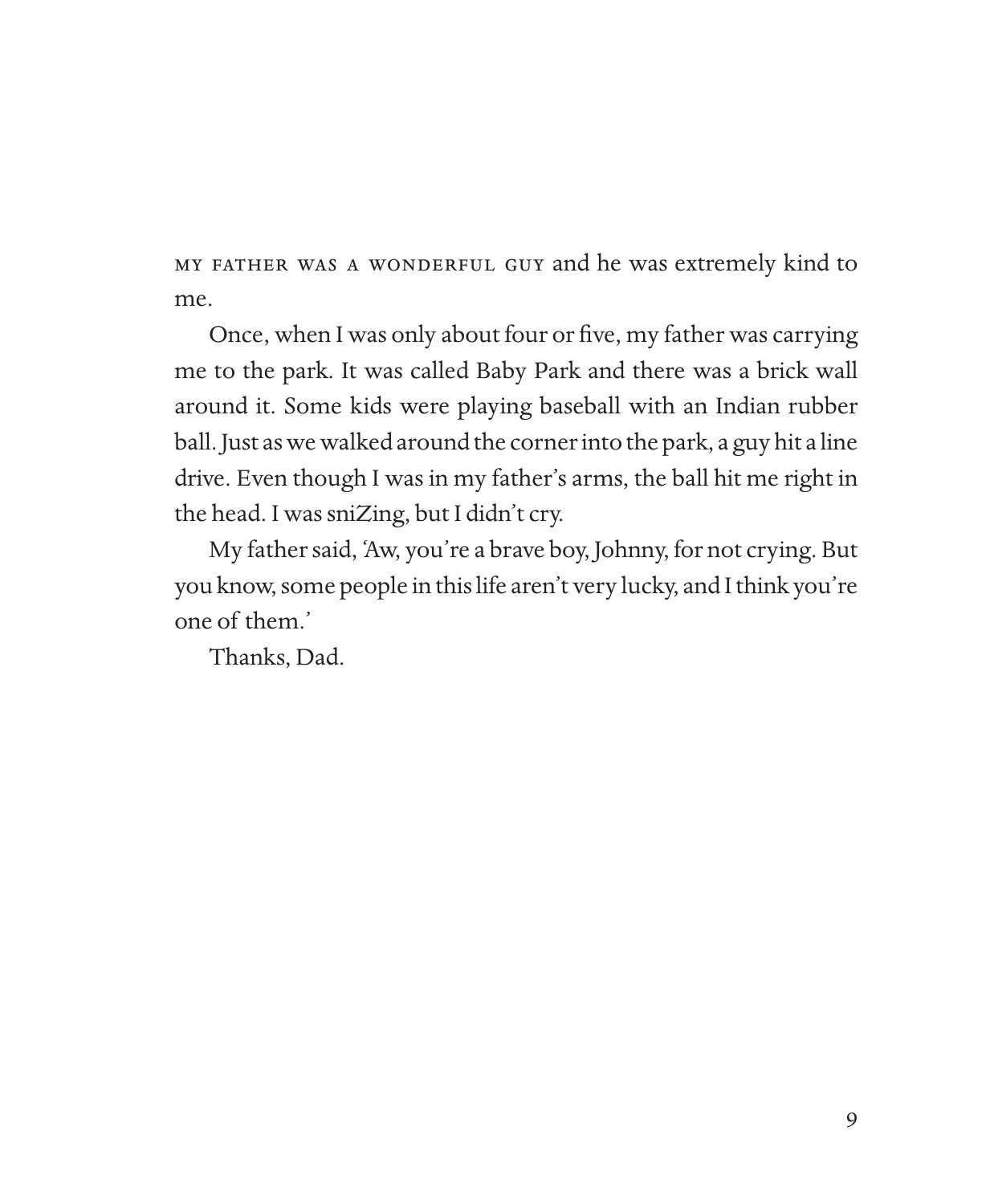MY FATHER WAS A WONDERFUL GUY and he was extremely kind to me.

Once, when I was only about four or five, my father was carrying me to the park. It was called Baby Park and there was a brick wall around it. Some kids were playing baseball with an Indian rubber ball. Just as we walked around the corner into the park, a guy hit a line drive. Even though I was in my father's arms, the ball hit me right in the head. I was sniZing, but I didn't cry.

My father said, 'Aw, you're a brave boy, Johnny, for not crying. But you know, some people in this life aren't very lucky, and I think you're one of them.'

Thanks, Dad.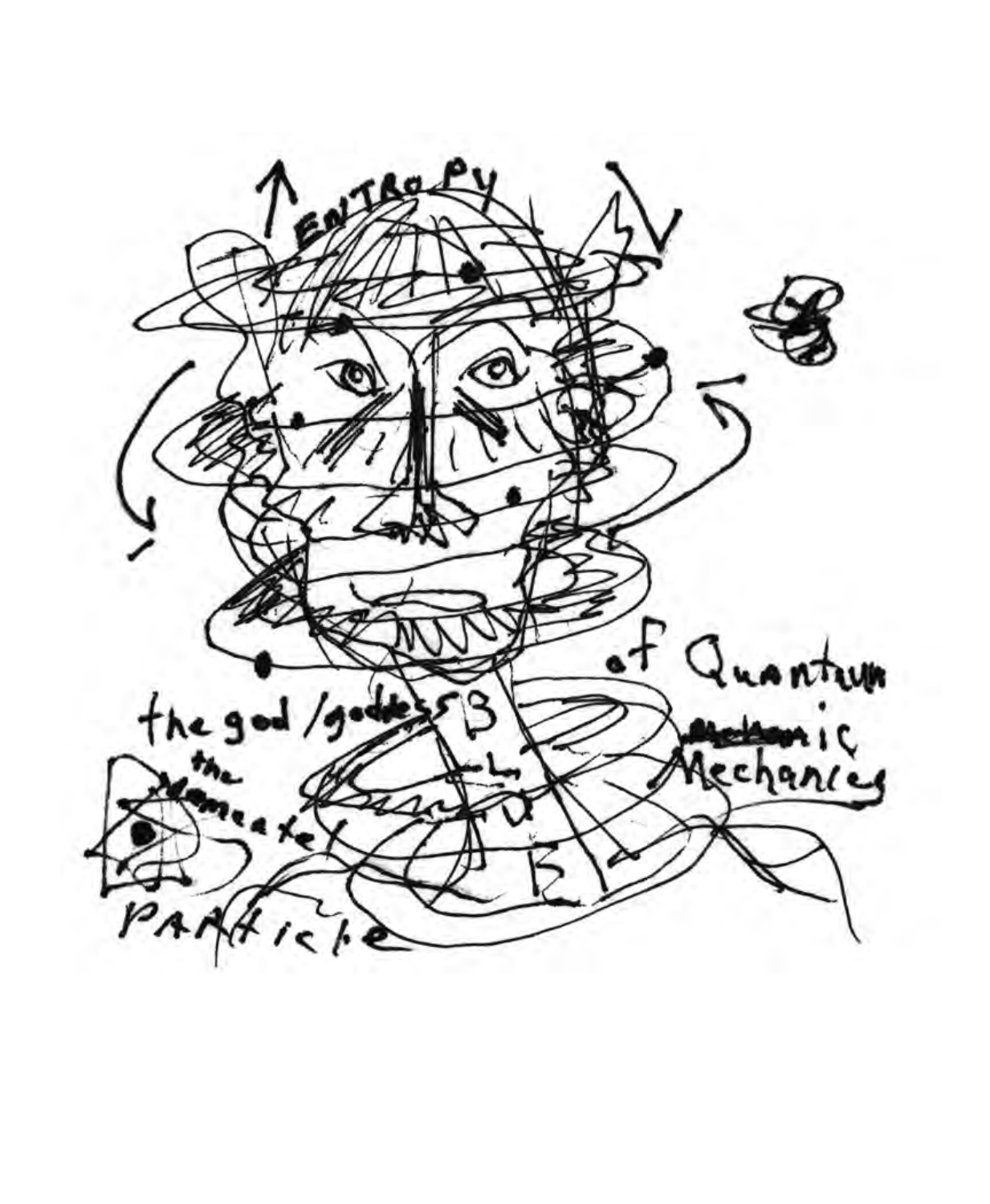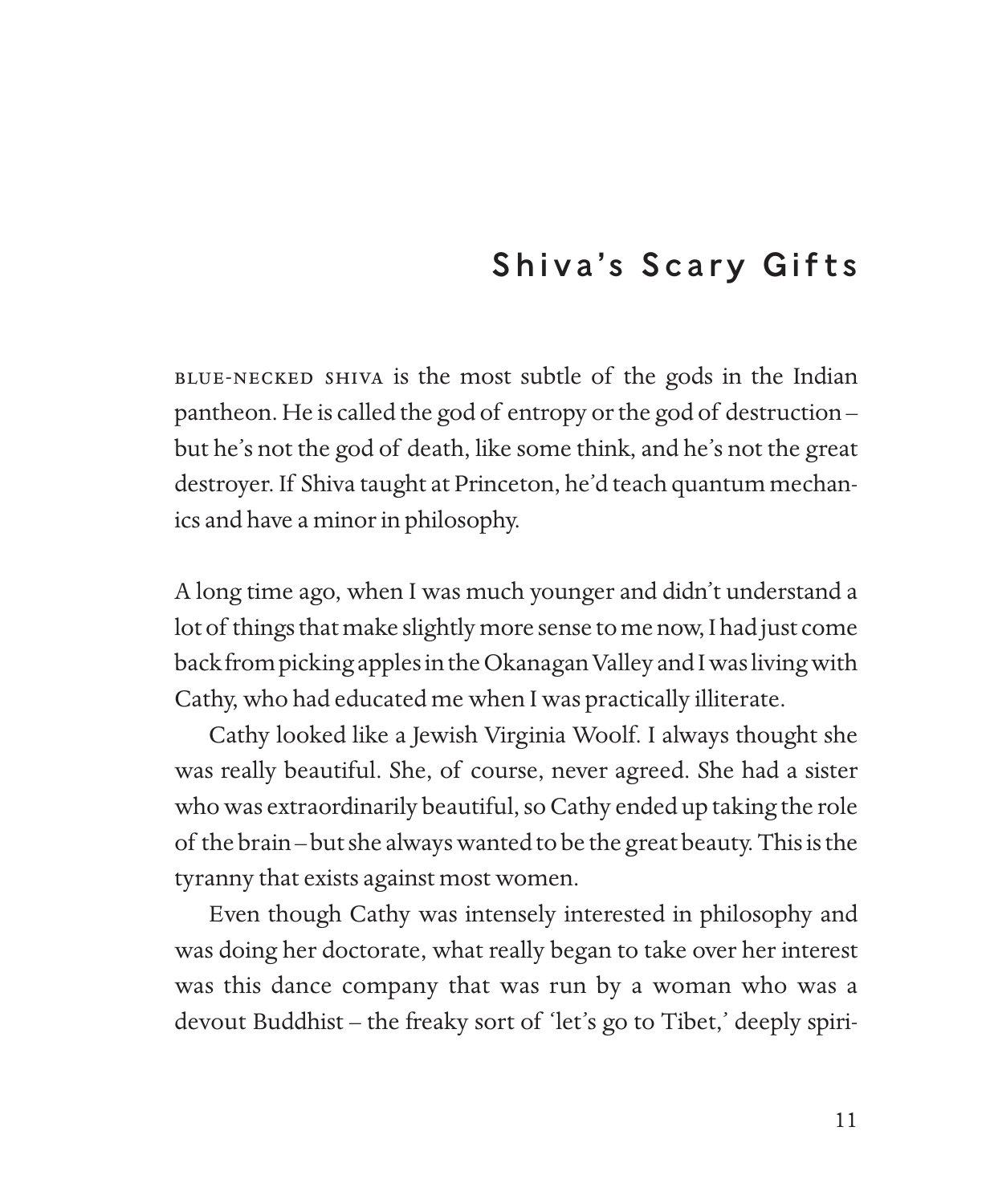## Shiva's Scary Gifts

BLUE-NECKED SHIVA is the most subtle of the gods in the Indian pantheon. He is called the god of entropy or the god of destruction – but he's not the god of death, like some think, and he's not the great destroyer. If Shiva taught at Princeton, he'd teach quantum mechanics and have a minor in philosophy.

A long time ago, when I was much younger and didn't understand a lot of things that make slightly more sense to me now, I had just come back from picking apples in the Okanagan Valley and I was living with Cathy, who had educated me when I was practically illiterate.

Cathy looked like a Jewish Virginia Woolf. I always thought she was really beautiful. She, of course, never agreed. She had a sister who was extraordinarily beautiful, so Cathy ended up taking the role of the brain – but she always wanted to be the great beauty. This is the tyranny that exists against most women.

Even though Cathy was intensely interested in philosophy and was doing her doctorate, what really began to take over her interest was this dance company that was run by a woman who was a devout Buddhist – the freaky sort of 'let's go to Tibet,' deeply spiri-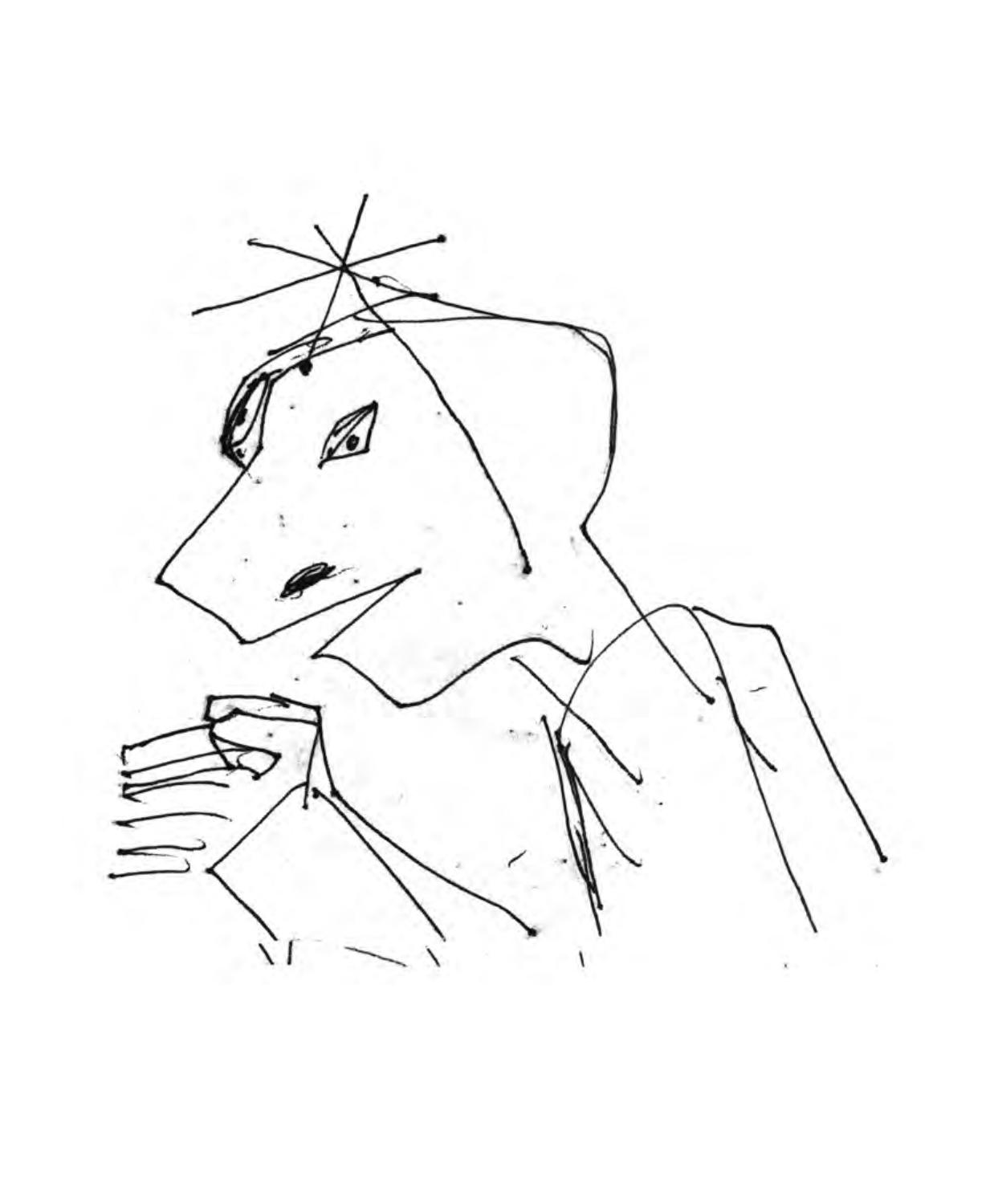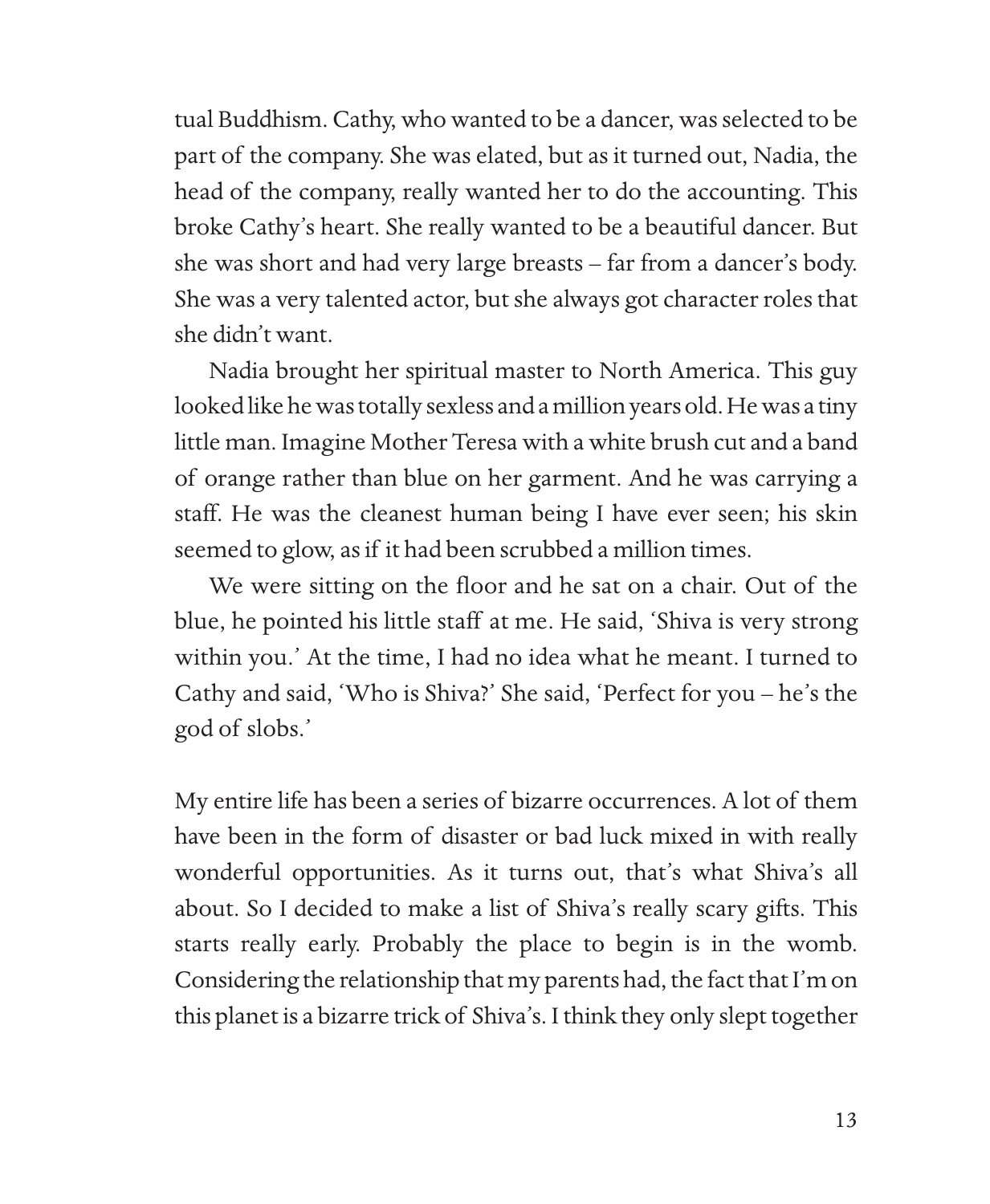tual Buddhism. Cathy, who wanted to be a dancer, was selected to be part of the company. She was elated, but as it turned out, Nadia, the head of the company, really wanted her to do the accounting. This broke Cathy's heart. She really wanted to be a beautiful dancer. But she was short and had very large breasts – far from a dancer's body. She was a very talented actor, but she always got character roles that she didn't want.

Nadia brought her spiritual master to North America. This guy looked like he was totally sexless and a million years old. He was a tiny little man. Imagine Mother Teresa with a white brush cut and a band of orange rather than blue on her garment. And he was carrying a staff. He was the cleanest human being I have ever seen; his skin seemed to glow, as if it had been scrubbed a million times.

We were sitting on the floor and he sat on a chair. Out of the blue, he pointed his little staff at me. He said, 'Shiva is very strong within you.' At the time, I had no idea what he meant. I turned to Cathy and said, 'Who is Shiva?' She said, 'Perfect for you – he's the god of slobs.'

My entire life has been a series of bizarre occurrences. A lot of them have been in the form of disaster or bad luck mixed in with really wonderful opportunities. As it turns out, that's what Shiva's all about. So I decided to make a list of Shiva's really scary gifts. This starts really early. Probably the place to begin is in the womb. Considering the relationship that my parents had, the fact that I'm on this planet is a bizarre trick of Shiva's. I think they only slept together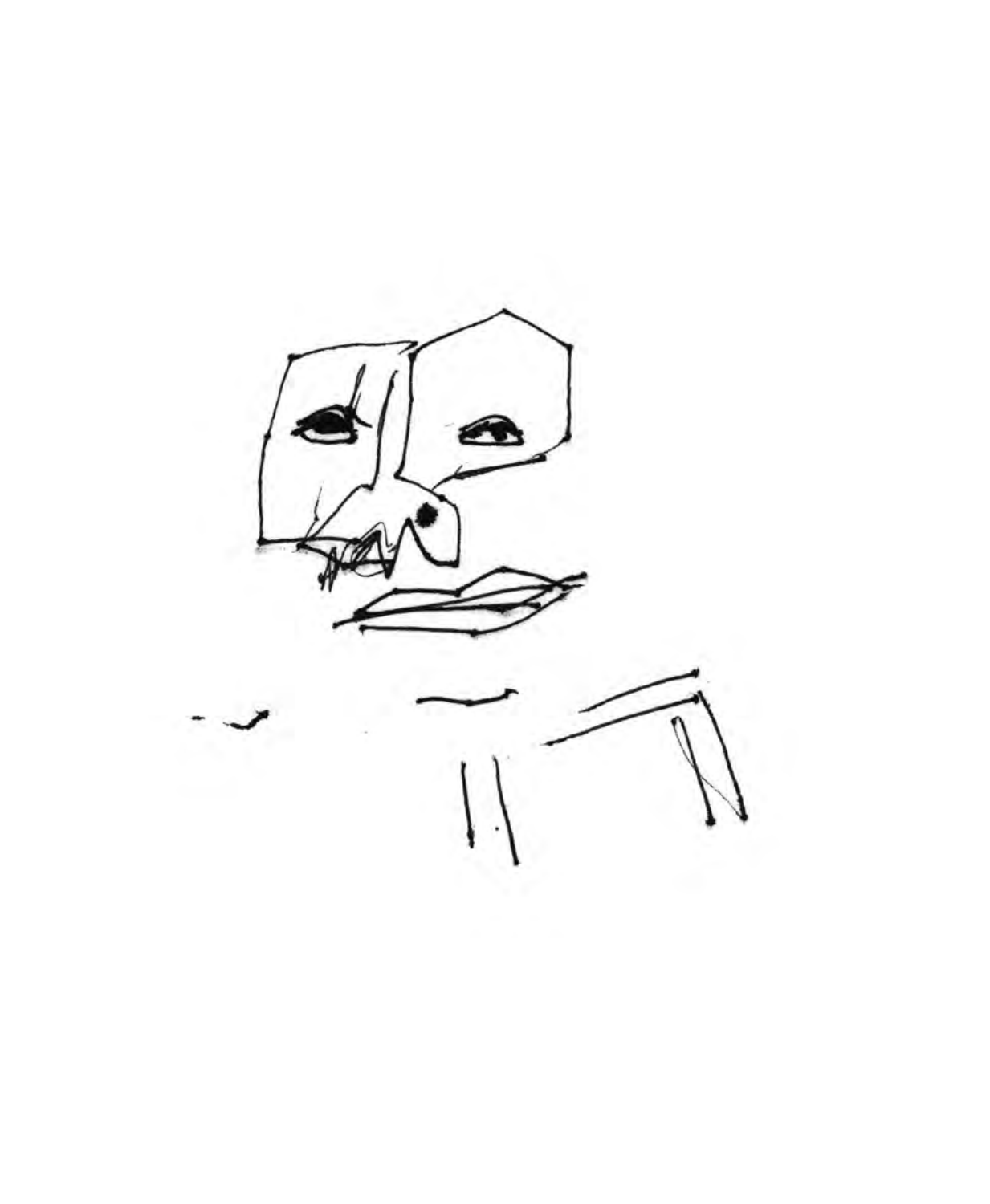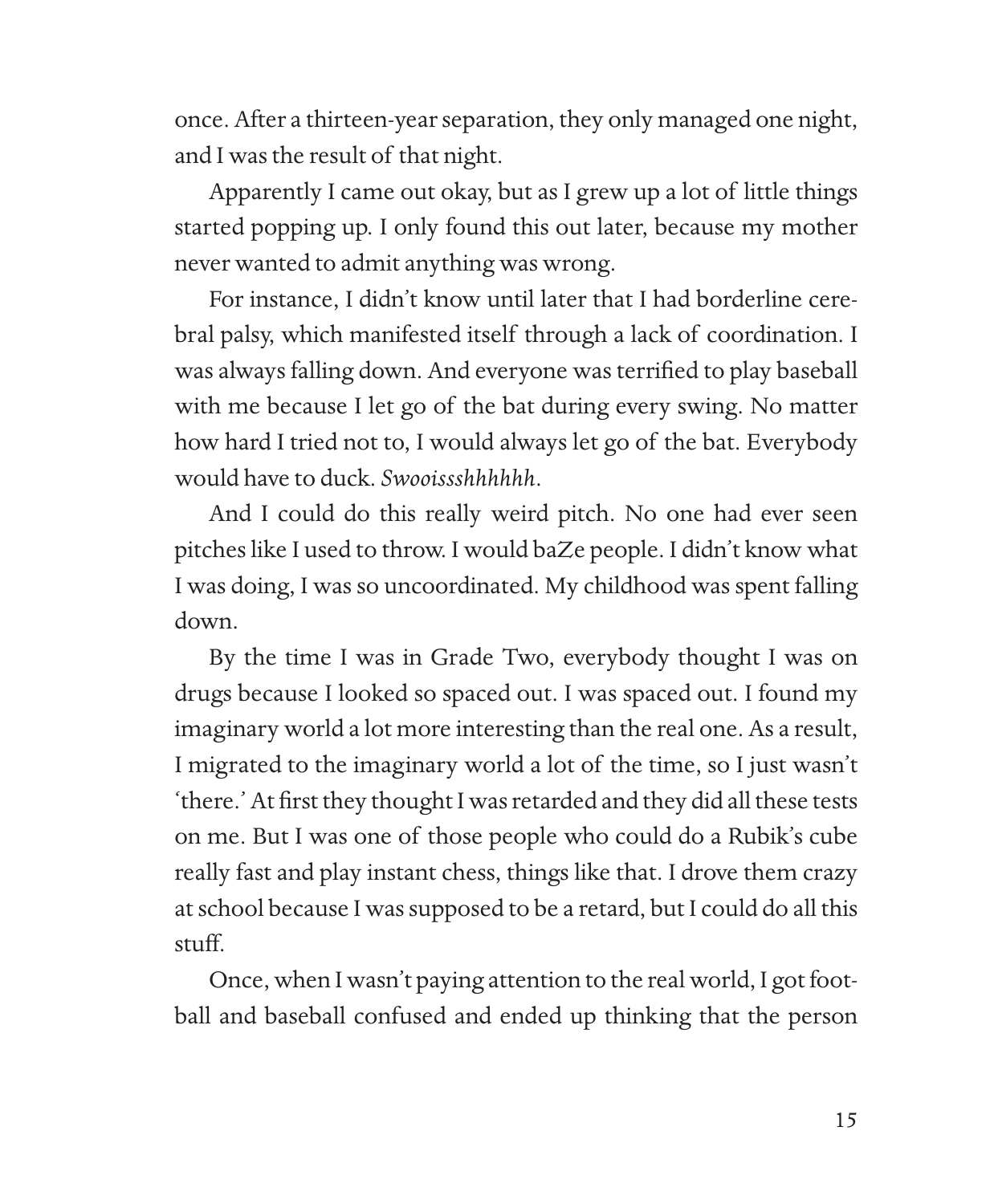once. After a thirteen-year separation, they only managed one night, and I was the result of that night.

Apparently I came out okay, but as I grew up a lot of little things started popping up. I only found this out later, because my mother never wanted to admit anything was wrong.

For instance, I didn't know until later that I had borderline cerebral palsy, which manifested itself through a lack of coordination. I was always falling down. And everyone was terrified to play baseball with me because I let go of the bat during every swing. No matter how hard I tried not to, I would always let go of the bat. Everybody would have to duck. *Swooissshhhhhh*.

And I could do this really weird pitch. No one had ever seen pitches like I used to throw. I would baZe people. I didn't know what I was doing, I was so uncoordinated. My childhood was spent falling down.

By the time I was in Grade Two, everybody thought I was on drugs because I looked so spaced out. I was spaced out. I found my imaginary world a lot more interesting than the real one. As a result, I migrated to the imaginary world a lot of the time, so I just wasn't 'there.' At first they thought I was retarded and they did all these tests on me. But I was one of those people who could do a Rubik's cube really fast and play instant chess, things like that. I drove them crazy at school because I was supposed to be a retard, but I could do all this stuff.

Once, when I wasn't paying attention to the real world, I got football and baseball confused and ended up thinking that the person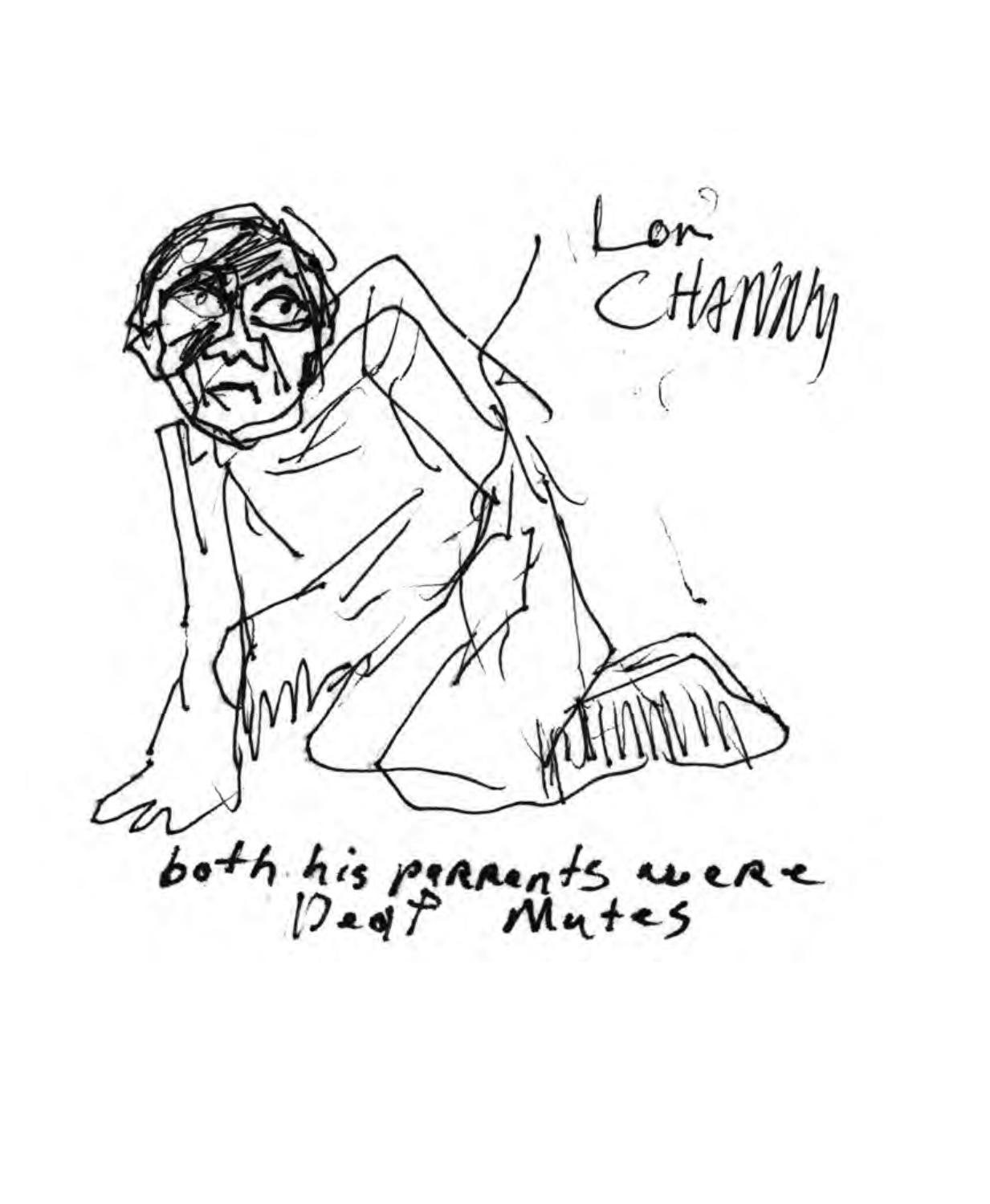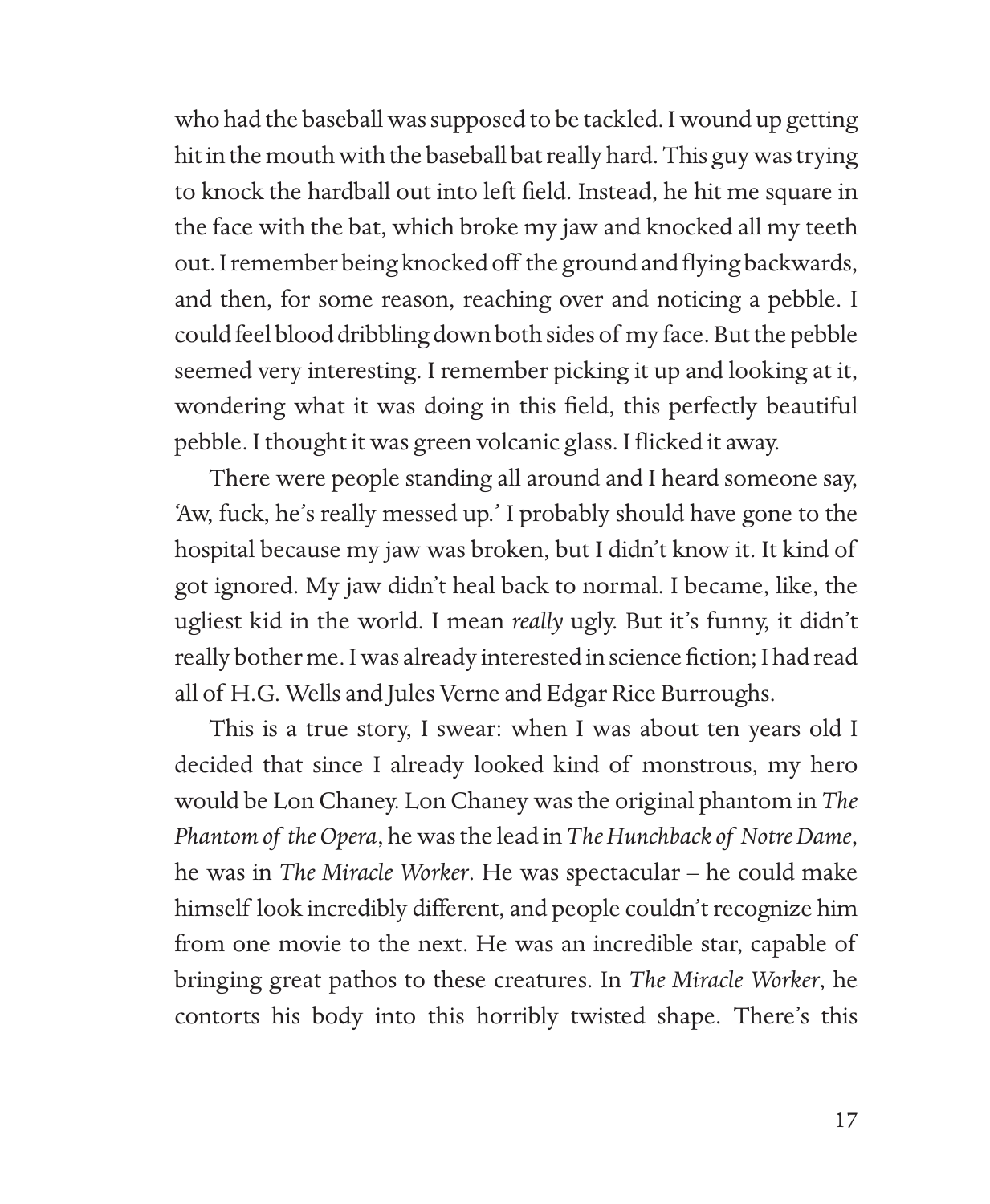who had the baseball was supposed to be tackled. I wound up getting hit in the mouth with the baseball bat really hard. This guy was trying to knock the hardball out into left field. Instead, he hit me square in the face with the bat, which broke my jaw and knocked all my teeth out. I remember being knocked off the ground and flying backwards, and then, for some reason, reaching over and noticing a pebble. I could feel blood dribbling down both sides of my face. But the pebble seemed very interesting. I remember picking it up and looking at it, wondering what it was doing in this field, this perfectly beautiful pebble. I thought it was green volcanic glass. I flicked it away.

There were people standing all around and I heard someone say, 'Aw, fuck, he's really messed up.' I probably should have gone to the hospital because my jaw was broken, but I didn't know it. It kind of got ignored. My jaw didn't heal back to normal. I became, like, the ugliest kid in the world. I mean *really* ugly. But it's funny, it didn't really bother me. I was already interested in science fiction; I had read all of H.G. Wells and Jules Verne and Edgar Rice Burroughs.

This is a true story, I swear: when I was about ten years old I decided that since I already looked kind of monstrous, my hero would be Lon Chaney. Lon Chaney was the original phantom in *The Phantom of the Opera*, he was the lead in *The Hunchback of Notre Dame*, he was in *The Miracle Worker*. He was spectacular – he could make himself look incredibly different, and people couldn't recognize him from one movie to the next. He was an incredible star, capable of bringing great pathos to these creatures. In *The Miracle Worker*, he contorts his body into this horribly twisted shape. There's this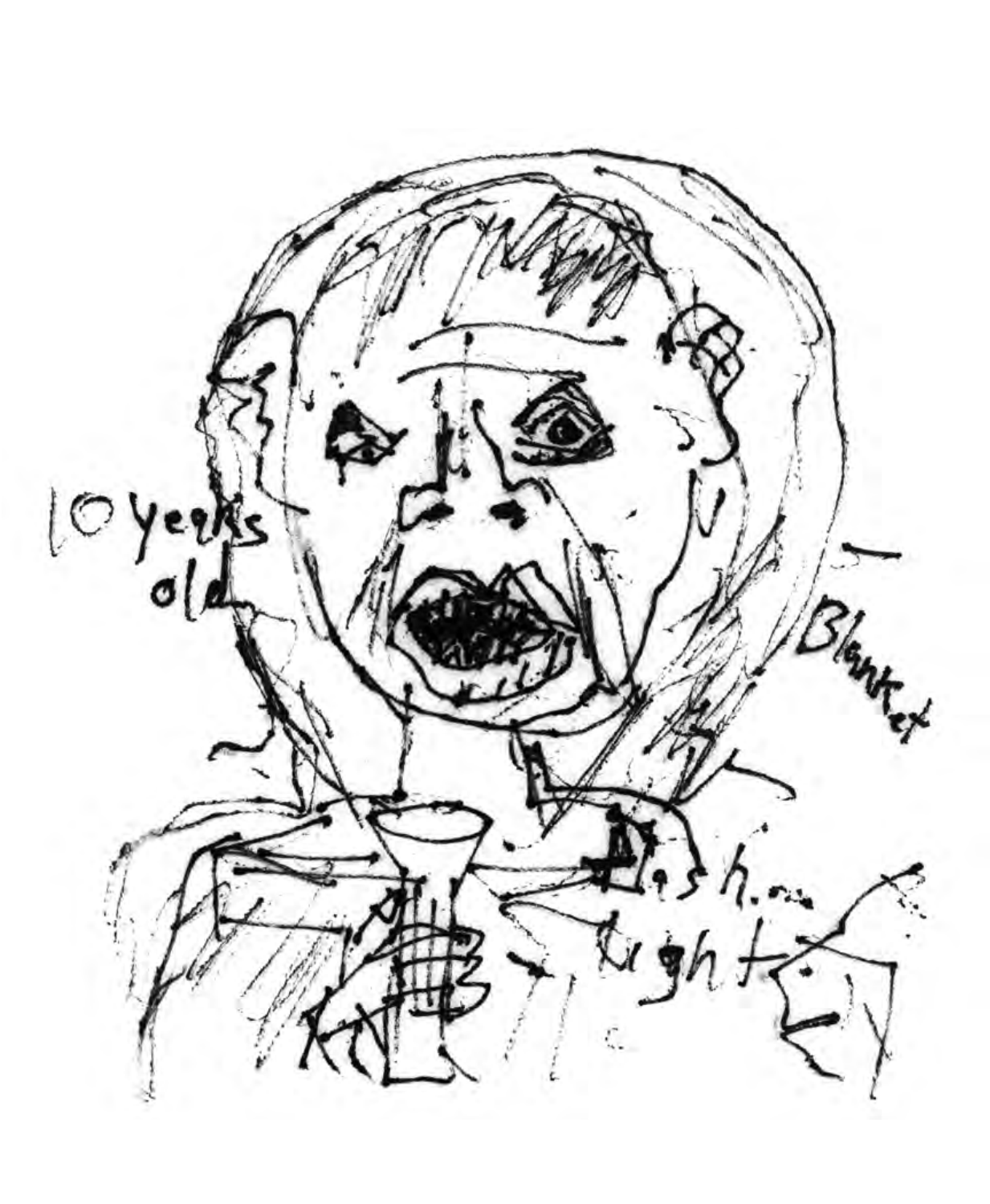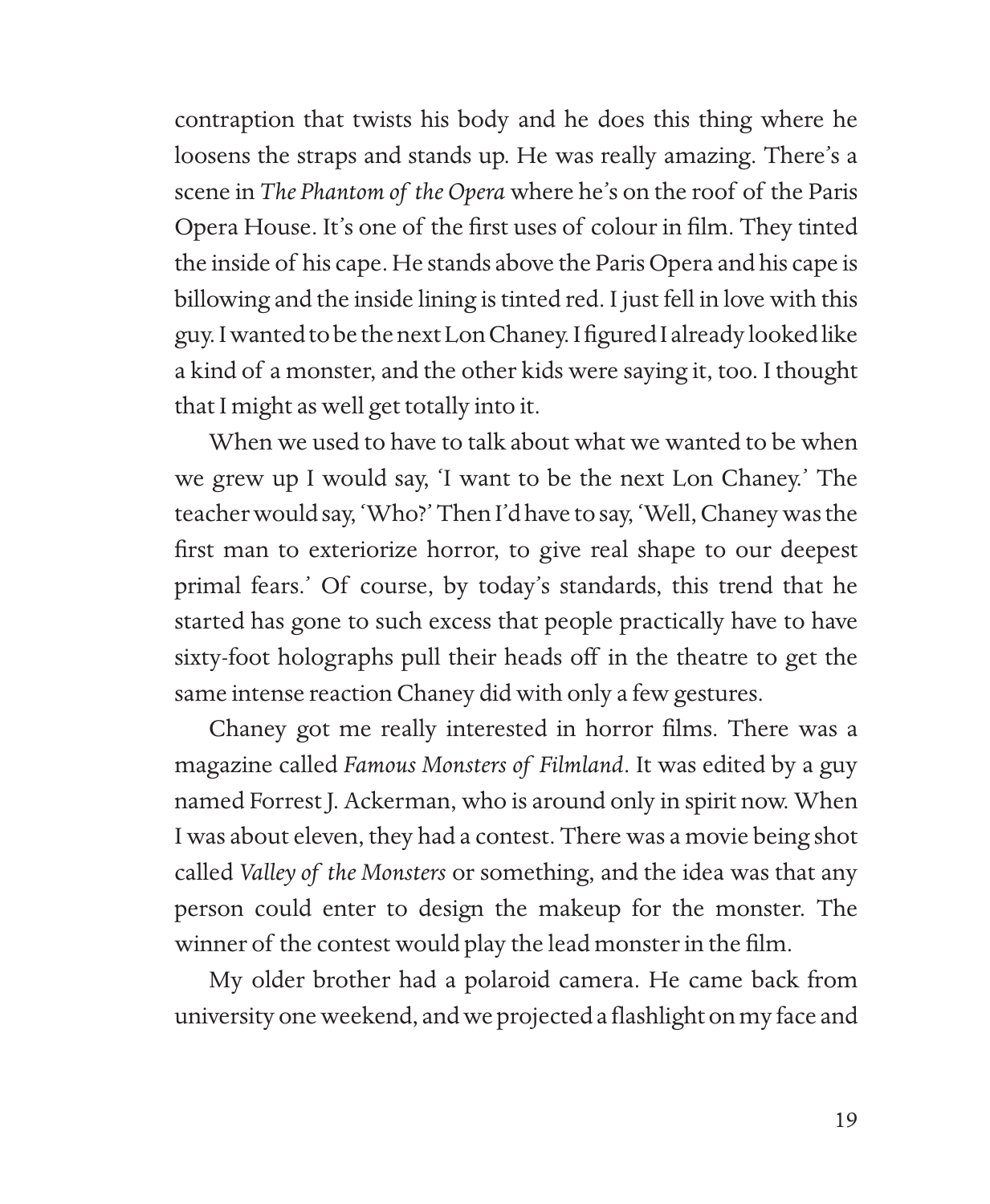contraption that twists his body and he does this thing where he loosens the straps and stands up. He was really amazing. There's a scene in *The Phantom of the Opera* where he's on the roof of the Paris Opera House. It's one of the first uses of colour in film. They tinted the inside of his cape. He stands above the Paris Opera and his cape is billowing and the inside lining is tinted red. I just fell in love with this guy. I wanted to be the next Lon Chaney. I figured I already looked like a kind of a monster, and the other kids were saying it, too. I thought that I might as well get totally into it.

When we used to have to talk about what we wanted to be when we grew up I would say, 'I want to be the next Lon Chaney.' The teacher would say, 'Who?' Then I'd have to say, 'Well, Chaney was the first man to exteriorize horror, to give real shape to our deepest primal fears.' Of course, by today's standards, this trend that he started has gone to such excess that people practically have to have sixty-foot holographs pull their heads off in the theatre to get the same intense reaction Chaney did with only a few gestures.

Chaney got me really interested in horror films. There was a magazine called *Famous Monsters of Filmland*. It was edited by a guy named Forrest J. Ackerman, who is around only in spirit now. When I was about eleven, they had a contest. There was a movie being shot called *Valley of the Monsters* or something, and the idea was that any person could enter to design the makeup for the monster. The winner of the contest would play the lead monster in the film.

My older brother had a polaroid camera. He came back from university one weekend, and we projected a flashlight on my face and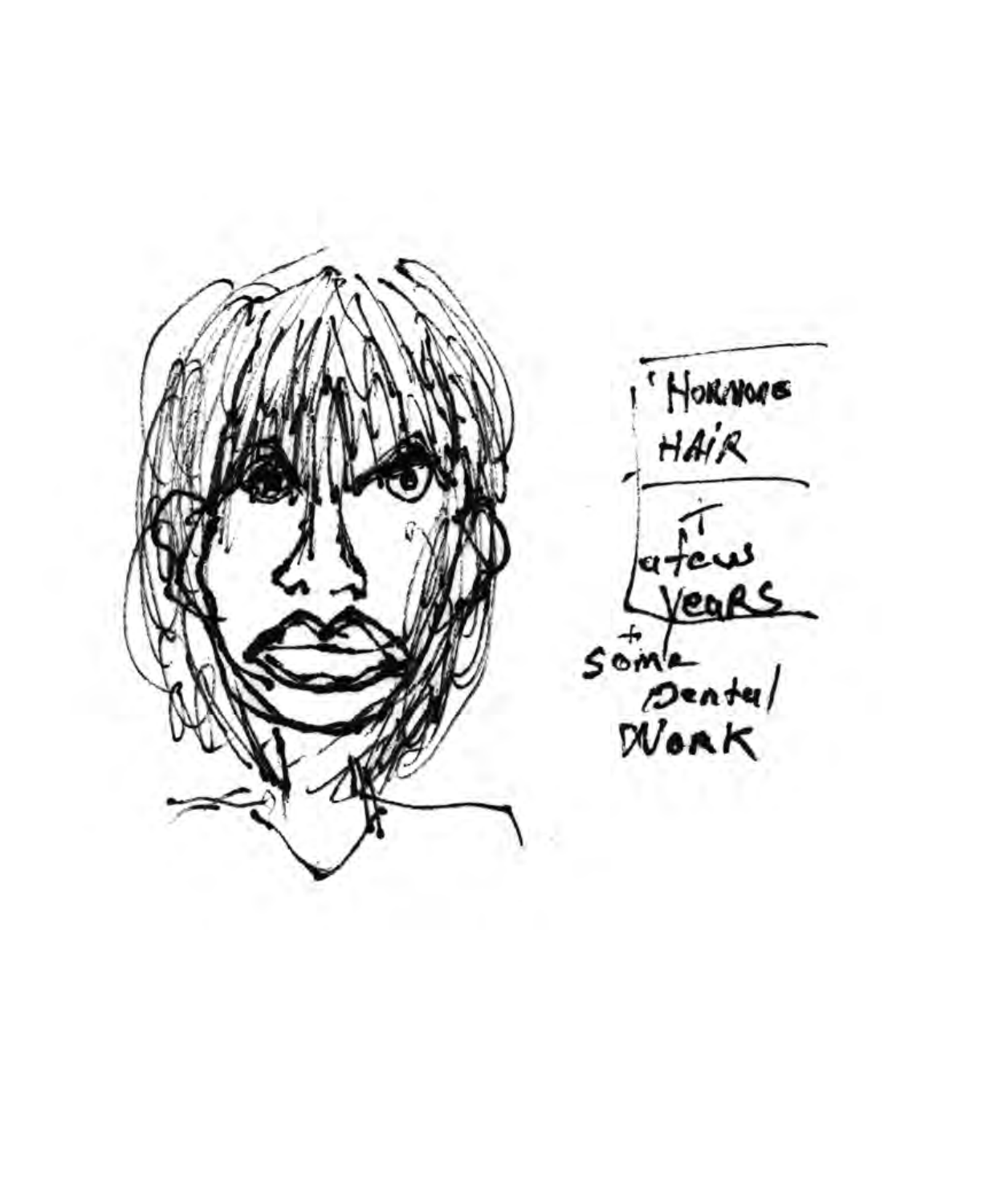

'HORNORS<br>HAIR Someontal<br>Someontal<br>Work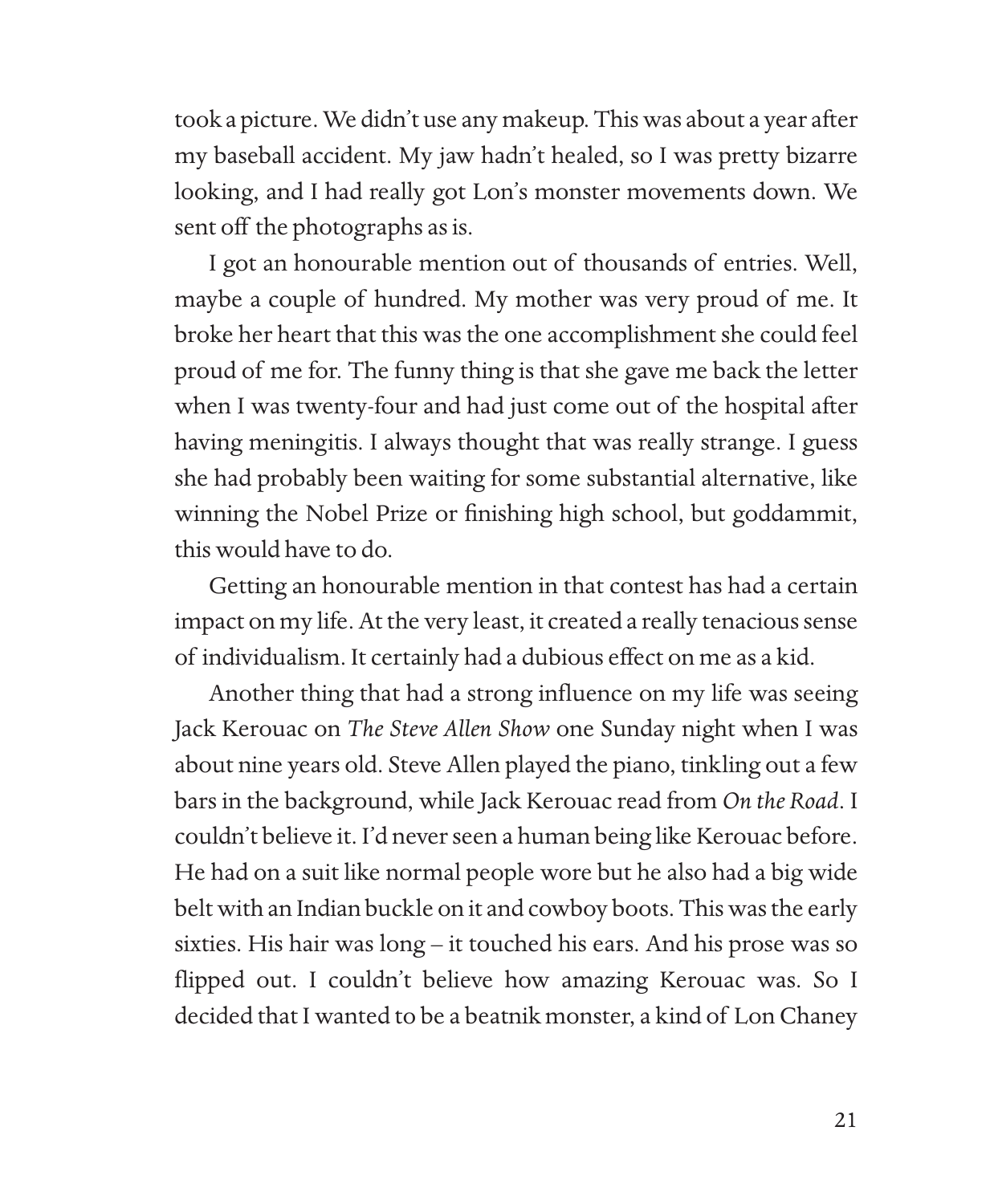took a picture. We didn't use any makeup. This was about a year after my baseball accident. My jaw hadn't healed, so I was pretty bizarre looking, and I had really got Lon's monster movements down. We sent off the photographs as is.

I got an honourable mention out of thousands of entries. Well, maybe a couple of hundred. My mother was very proud of me. It broke her heart that this was the one accomplishment she could feel proud of me for. The funny thing is that she gave me back the letter when I was twenty-four and had just come out of the hospital after having meningitis. I always thought that was really strange. I guess she had probably been waiting for some substantial alternative, like winning the Nobel Prize or finishing high school, but goddammit, this would have to do.

Getting an honourable mention in that contest has had a certain impact on my life. At the very least, it created a really tenacious sense of individualism. It certainly had a dubious effect on me as a kid.

Another thing that had a strong influence on my life was seeing Jack Kerouac on *The Steve Allen Show* one Sunday night when I was about nine years old. Steve Allen played the piano, tinkling out a few bars in the background, while Jack Kerouac read from *On the Road*. I couldn't believe it. I'd never seen a human being like Kerouac before. He had on a suit like normal people wore but he also had a big wide belt with an Indian buckle on it and cowboy boots. This was the early sixties. His hair was long – it touched his ears. And his prose was so flipped out. I couldn't believe how amazing Kerouac was. So I decided that I wanted to be a beatnik monster, a kind of Lon Chaney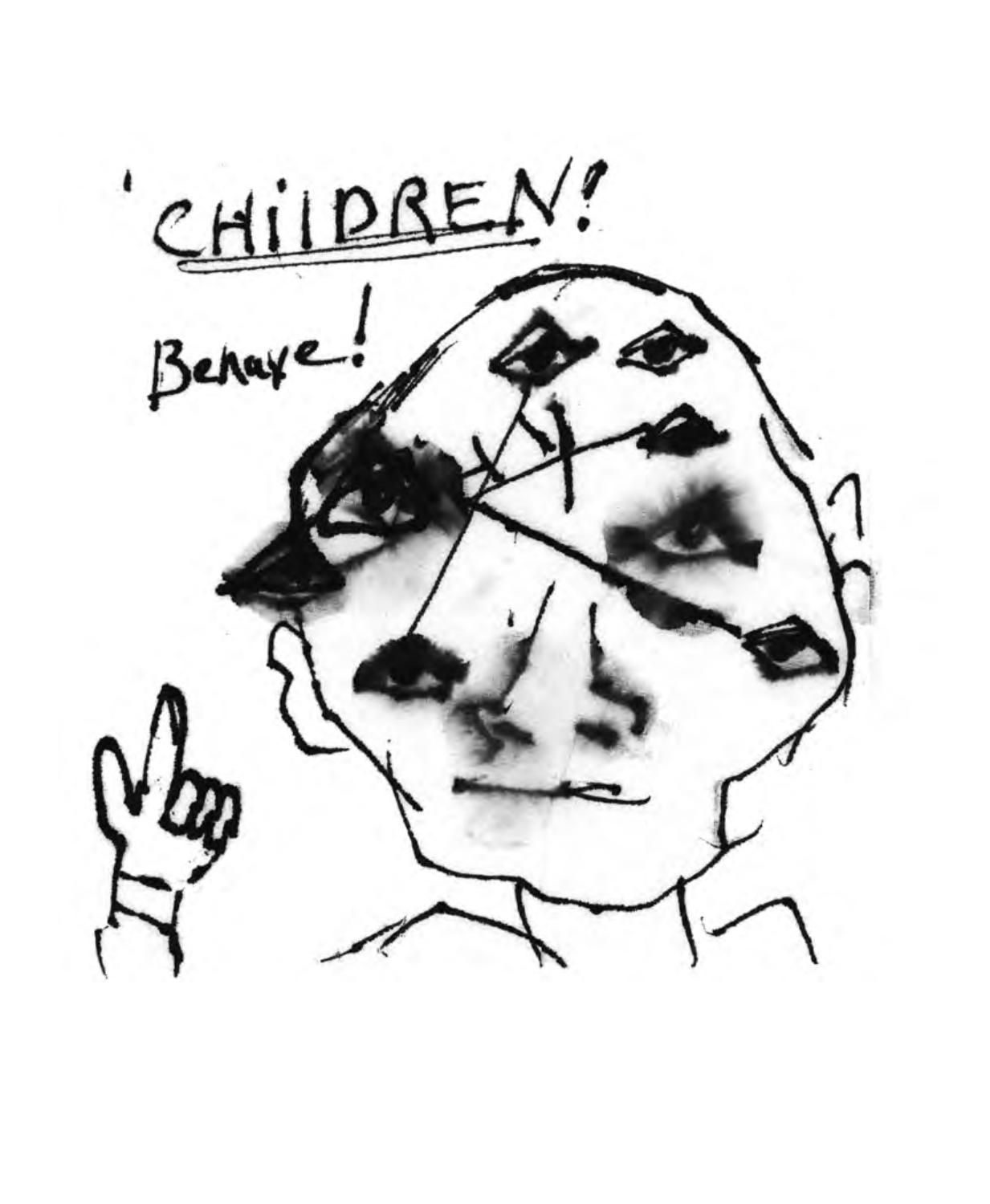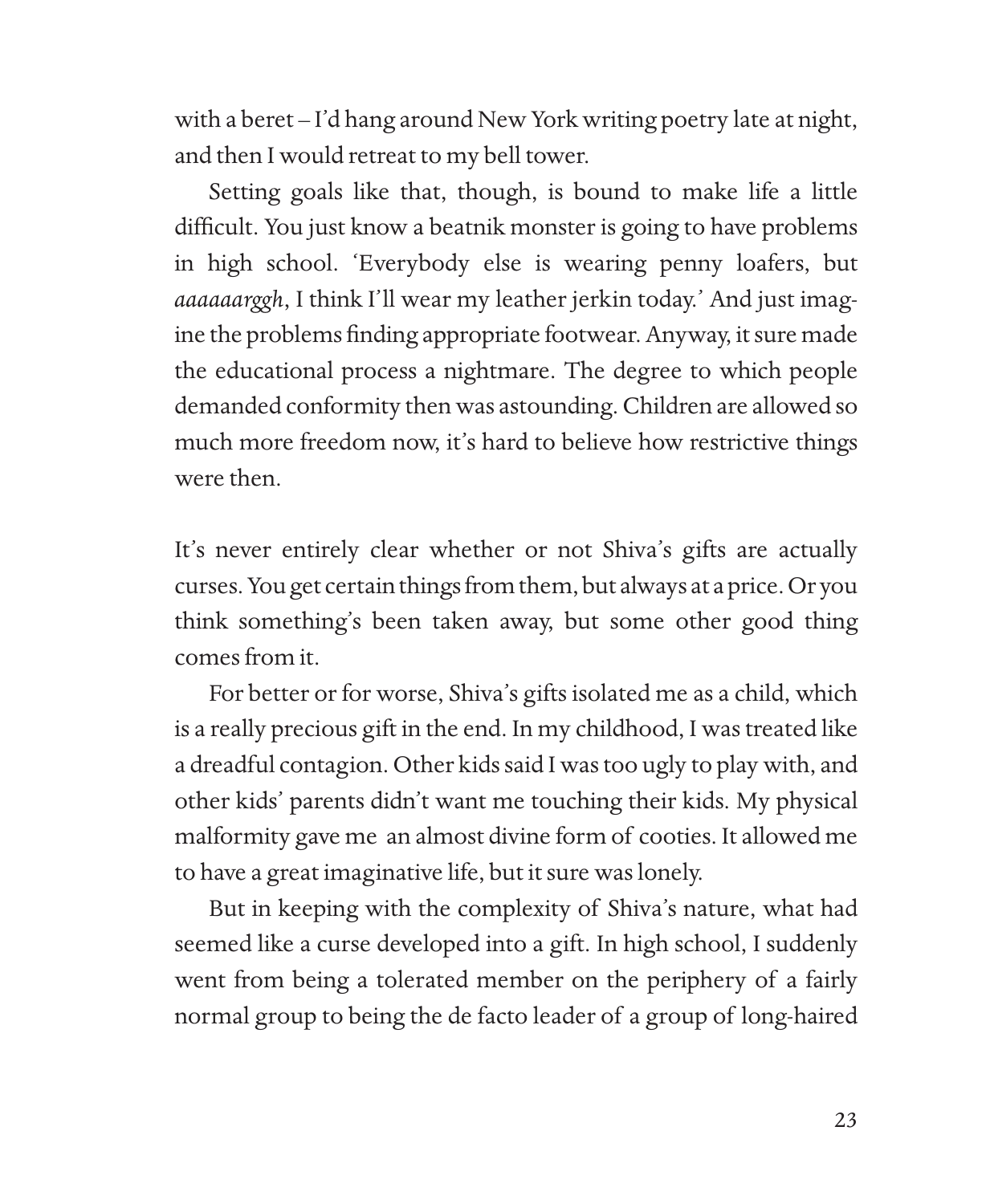with a beret – I'd hang around New York writing poetry late at night, and then I would retreat to my bell tower.

Setting goals like that, though, is bound to make life a little difficult. You just know a beatnik monster is going to have problems in high school. 'Everybody else is wearing penny loafers, but *aaaaaarggh*, I think I'll wear my leather jerkin today.' And just imagine the problems finding appropriate footwear. Anyway, it sure made the educational process a nightmare. The degree to which people demanded conformity then was astounding. Children are allowed so much more freedom now, it's hard to believe how restrictive things were then.

It's never entirely clear whether or not Shiva's gifts are actually curses. You get certain things from them, but always at a price. Or you think something's been taken away, but some other good thing comes from it.

For better or for worse, Shiva's gifts isolated me as a child, which is a really precious gift in the end. In my childhood, I was treated like a dreadful contagion. Other kids said I was too ugly to play with, and other kids' parents didn't want me touching their kids. My physical malformity gave me an almost divine form of cooties. It allowed me to have a great imaginative life, but it sure was lonely.

But in keeping with the complexity of Shiva's nature, what had seemed like a curse developed into a gift. In high school, I suddenly went from being a tolerated member on the periphery of a fairly normal group to being the de facto leader of a group of long-haired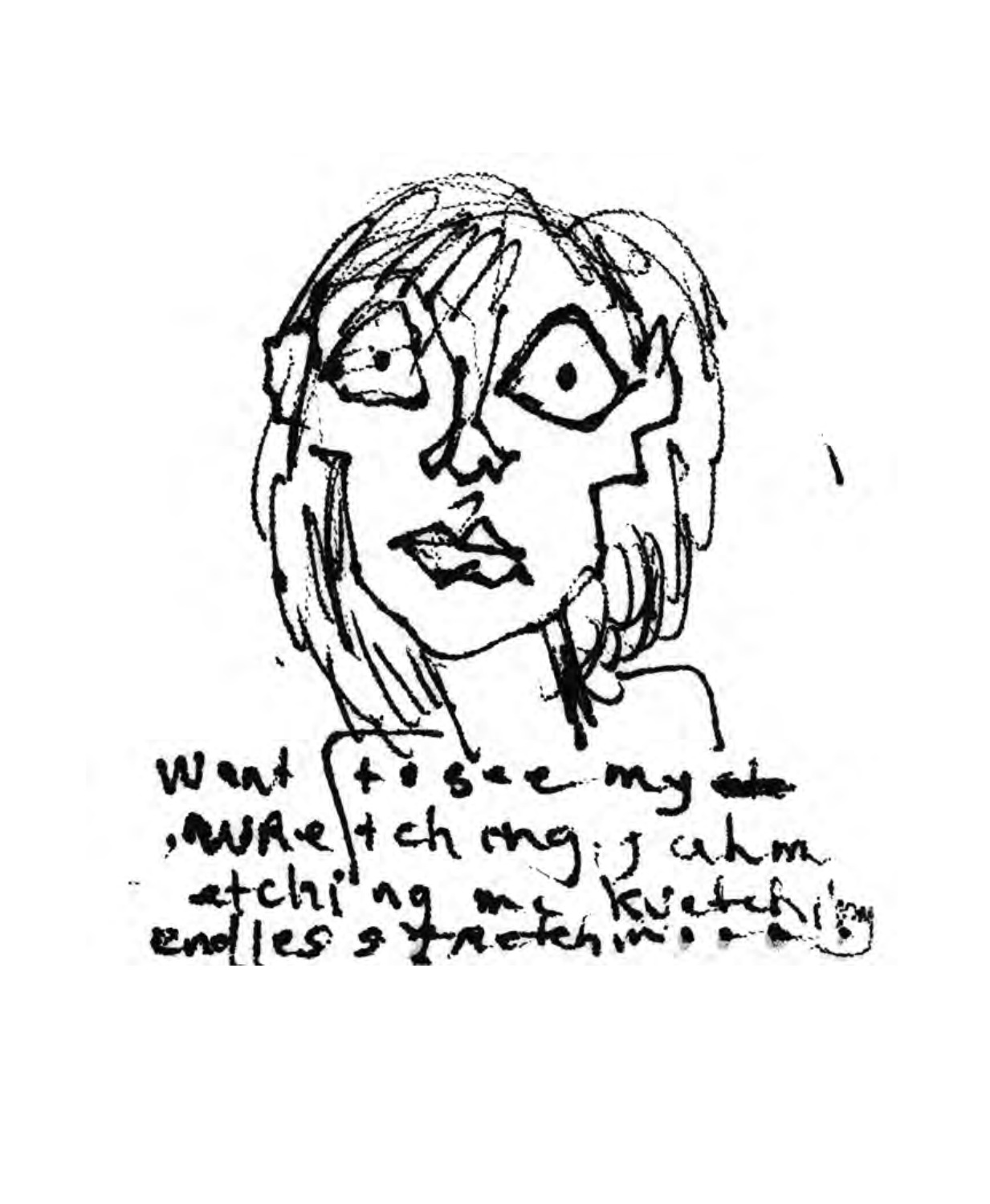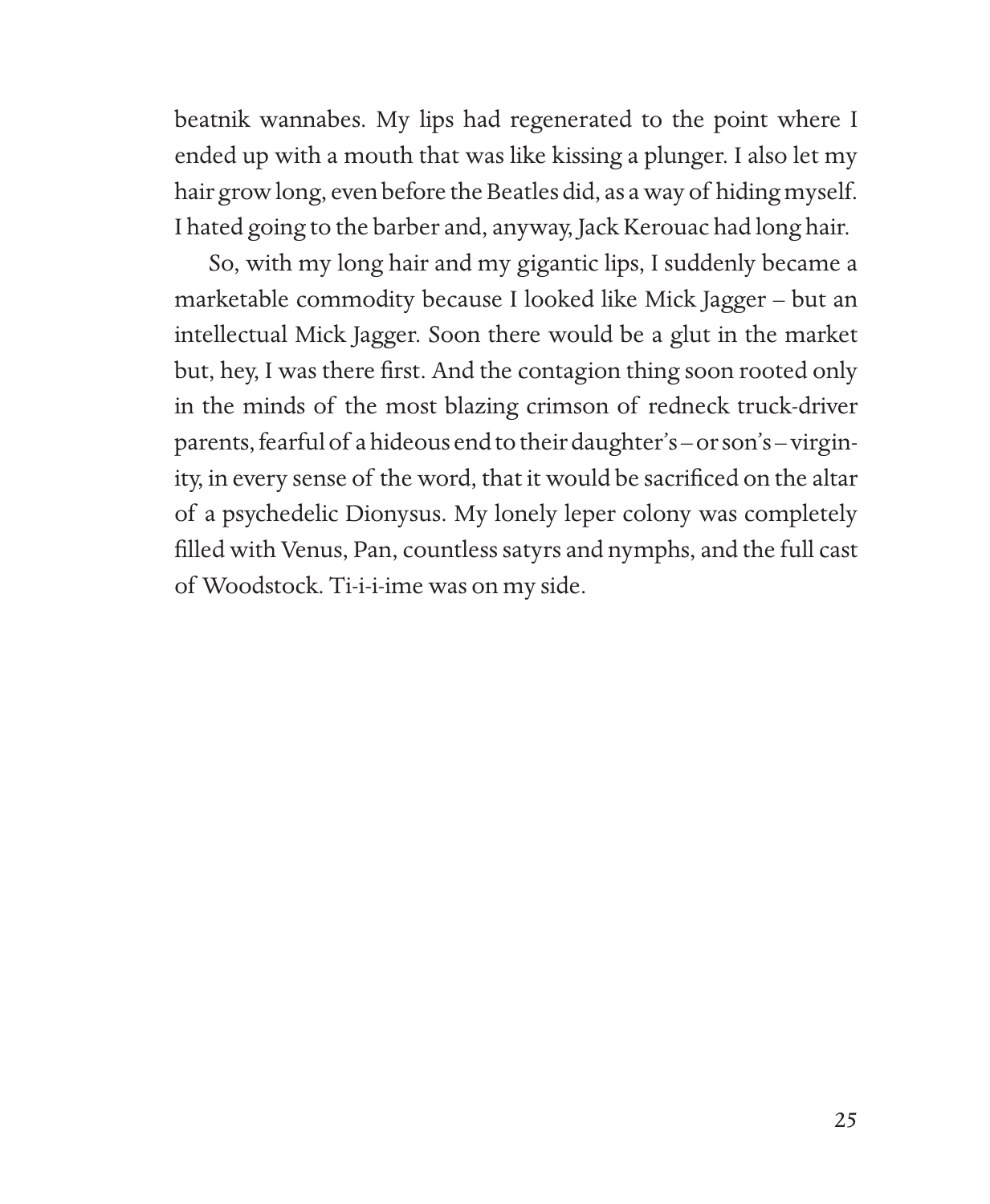beatnik wannabes. My lips had regenerated to the point where I ended up with a mouth that was like kissing a plunger. I also let my hair grow long, even before the Beatles did, as a way of hiding myself. I hated going to the barber and, anyway, Jack Kerouac had long hair.

So, with my long hair and my gigantic lips, I suddenly became a marketable commodity because I looked like Mick Jagger – but an intellectual Mick Jagger. Soon there would be a glut in the market but, hey, I was there first. And the contagion thing soon rooted only in the minds of the most blazing crimson of redneck truck-driver parents, fearful of a hideous end to their daughter's – or son's – virginity, in every sense of the word, that it would be sacrificed on the altar of a psychedelic Dionysus. My lonely leper colony was completely filled with Venus, Pan, countless satyrs and nymphs, and the full cast of Woodstock. Ti-i-i-ime was on my side.